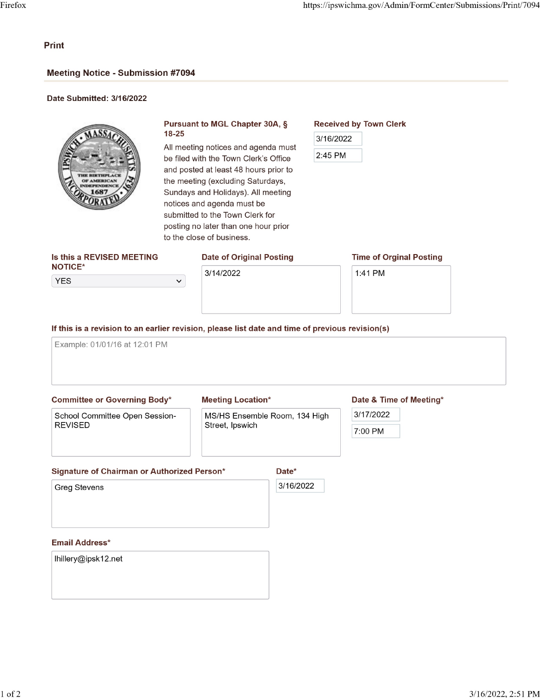## Print

# **Meeting Notice - Submission #7094**

#### Date Submitted: 3/16/2022



# Pursuant to MGL Chapter 30A, § 18-25 3/16/2022

All meeting notices and agenda must<br>be filed with the Town Clerk's Office  $\frac{2.45 \text{ PM}}{2.45 \text{ PM}}$ be filed with the Town Clerk's Office and posted at least 48 hours prior to the meeting (excluding Saturdays, Sundays and Holidays). All meeting notices and agenda must be submitted to the Town Clerk for posting no later than one hour prior to the close of business.

# Is this a REVISED MEETING Date of Original Posting NOTICE\*

**YES** 

# 3/14/2022

# Date of Original Posting Time of Orginal Posting

1:41 PM

Received by Town Clerk

If this is a revision to an earlier revision, please list date and time of previous revision(s)

 $\checkmark$ 

Example: 01/01/16 at 12:01 PM

### **Committee or Governing Body\***

School Committee Open Session-**REVISED** 

#### **Meeting Location\***

MS/HS Ensemble Room, 134 High Street, Ipswich

#### Date & Time of Meeting\*

3/17/2022

7:00 PM

#### Signature of Chairman or Authorized Person\*

Date\* 3/16/2022

**Greg Stevens** 

#### **Email Address\***

lhillery@ipsk12.net